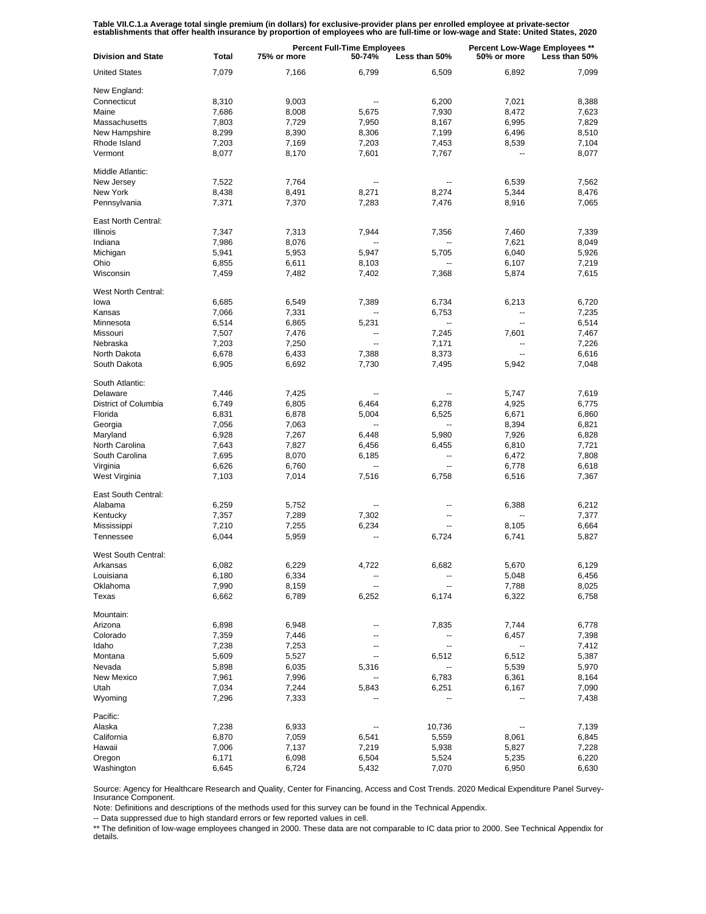Table VII.C.1.a Average total single premium (in dollars) for exclusive-provider plans per enrolled employee at private-sector<br>establishments that offer health insurance by proportion of employees who are full-time or low-

| <b>Division and State</b> | Total | <b>Percent Full-Time Employees</b><br>75% or more<br>50-74%<br>Less than 50% |                |                          | Percent Low-Wage Employees **<br>50% or more<br>Less than 50% |       |
|---------------------------|-------|------------------------------------------------------------------------------|----------------|--------------------------|---------------------------------------------------------------|-------|
| <b>United States</b>      | 7,079 | 7,166                                                                        | 6,799          | 6,509                    | 6,892                                                         | 7,099 |
| New England:              |       |                                                                              |                |                          |                                                               |       |
| Connecticut               | 8,310 | 9,003                                                                        | --             | 6,200                    | 7,021                                                         | 8,388 |
| Maine                     |       |                                                                              |                |                          |                                                               |       |
|                           | 7,686 | 8,008                                                                        | 5,675          | 7,930                    | 8,472                                                         | 7,623 |
| Massachusetts             | 7,803 | 7,729                                                                        | 7,950          | 8,167                    | 6,995                                                         | 7,829 |
| New Hampshire             | 8,299 | 8,390                                                                        | 8,306          | 7,199                    | 6,496                                                         | 8,510 |
| Rhode Island              | 7,203 | 7,169                                                                        | 7,203          | 7,453                    | 8,539                                                         | 7,104 |
| Vermont                   | 8,077 | 8,170                                                                        | 7,601          | 7,767                    | ۰.                                                            | 8,077 |
| Middle Atlantic:          |       |                                                                              |                |                          |                                                               |       |
| New Jersey                | 7,522 | 7,764                                                                        |                |                          | 6,539                                                         | 7,562 |
| New York                  | 8,438 | 8,491                                                                        | 8,271          | 8,274                    | 5,344                                                         | 8,476 |
| Pennsylvania              | 7,371 | 7,370                                                                        | 7,283          | 7,476                    | 8,916                                                         | 7,065 |
| East North Central:       |       |                                                                              |                |                          |                                                               |       |
|                           |       |                                                                              |                |                          |                                                               |       |
| Illinois                  | 7,347 | 7,313                                                                        | 7,944          | 7,356                    | 7,460                                                         | 7,339 |
| Indiana                   | 7,986 | 8,076                                                                        |                |                          | 7,621                                                         | 8,049 |
| Michigan                  | 5,941 | 5,953                                                                        | 5,947          | 5,705                    | 6,040                                                         | 5,926 |
| Ohio                      | 6,855 | 6,611                                                                        | 8,103          | --                       | 6,107                                                         | 7,219 |
| Wisconsin                 | 7,459 | 7,482                                                                        | 7,402          | 7,368                    | 5,874                                                         | 7,615 |
| West North Central:       |       |                                                                              |                |                          |                                                               |       |
| lowa                      | 6,685 | 6,549                                                                        | 7,389          | 6,734                    | 6,213                                                         | 6,720 |
| Kansas                    |       |                                                                              |                | 6.753                    |                                                               |       |
|                           | 7,066 | 7,331                                                                        |                |                          | --                                                            | 7,235 |
| Minnesota                 | 6,514 | 6,865                                                                        | 5,231          | $\overline{\phantom{a}}$ | $\overline{\phantom{a}}$                                      | 6,514 |
| Missouri                  | 7,507 | 7,476                                                                        | --             | 7,245                    | 7,601                                                         | 7,467 |
| Nebraska                  | 7,203 | 7,250                                                                        | $\overline{a}$ | 7,171                    | --                                                            | 7,226 |
| North Dakota              | 6,678 | 6,433                                                                        | 7,388          | 8,373                    | $\overline{\phantom{a}}$                                      | 6,616 |
| South Dakota              | 6,905 | 6,692                                                                        | 7,730          | 7,495                    | 5,942                                                         | 7,048 |
| South Atlantic:           |       |                                                                              |                |                          |                                                               |       |
| Delaware                  | 7,446 | 7,425                                                                        |                |                          | 5,747                                                         | 7,619 |
| District of Columbia      | 6,749 | 6,805                                                                        | 6,464          | 6,278                    | 4,925                                                         | 6,775 |
|                           |       |                                                                              |                |                          |                                                               |       |
| Florida                   | 6,831 | 6,878                                                                        | 5,004          | 6,525                    | 6,671                                                         | 6,860 |
| Georgia                   | 7,056 | 7,063                                                                        |                | $\ddotsc$                | 8,394                                                         | 6,821 |
| Maryland                  | 6,928 | 7,267                                                                        | 6,448          | 5,980                    | 7,926                                                         | 6,828 |
| North Carolina            | 7,643 | 7,827                                                                        | 6,456          | 6,455                    | 6,810                                                         | 7,721 |
| South Carolina            | 7,695 | 8,070                                                                        | 6,185          | $\overline{\phantom{a}}$ | 6,472                                                         | 7,808 |
| Virginia                  | 6,626 | 6,760                                                                        |                | $\ddotsc$                | 6,778                                                         | 6,618 |
| West Virginia             | 7,103 | 7,014                                                                        | 7,516          | 6,758                    | 6,516                                                         | 7,367 |
| East South Central:       |       |                                                                              |                |                          |                                                               |       |
|                           |       |                                                                              |                |                          |                                                               |       |
| Alabama                   | 6,259 | 5,752                                                                        |                |                          | 6,388                                                         | 6,212 |
| Kentucky                  | 7,357 | 7,289                                                                        | 7,302          |                          |                                                               | 7,377 |
| Mississippi               | 7,210 | 7,255                                                                        | 6,234          | --                       | 8,105                                                         | 6,664 |
| Tennessee                 | 6,044 | 5,959                                                                        |                | 6,724                    | 6,741                                                         | 5,827 |
| West South Central:       |       |                                                                              |                |                          |                                                               |       |
| Arkansas                  | 6,082 | 6,229                                                                        | 4,722          | 6,682                    | 5,670                                                         | 6,129 |
| Louisiana                 | 6,180 | 6,334                                                                        |                |                          | 5,048                                                         | 6,456 |
| Oklahoma                  | 7,990 | 8,159                                                                        | --             | --                       | 7,788                                                         | 8,025 |
| Texas                     | 6,662 | 6,789                                                                        | 6,252          | 6,174                    | 6,322                                                         | 6,758 |
|                           |       |                                                                              |                |                          |                                                               |       |
| Mountain:                 |       |                                                                              |                |                          |                                                               |       |
| Arizona                   | 6,898 | 6,948                                                                        |                | 7,835                    | 7,744                                                         | 6,778 |
| Colorado                  | 7,359 | 7,446                                                                        |                |                          | 6,457                                                         | 7,398 |
| Idaho                     | 7,238 | 7,253                                                                        |                | --                       | --                                                            | 7,412 |
| Montana                   | 5,609 | 5,527                                                                        |                | 6,512                    | 6,512                                                         | 5,387 |
| Nevada                    | 5,898 | 6,035                                                                        | 5,316          |                          | 5,539                                                         | 5,970 |
| New Mexico                | 7,961 | 7,996                                                                        |                | 6,783                    | 6,361                                                         | 8,164 |
| Utah                      | 7,034 | 7,244                                                                        | 5,843          | 6,251                    | 6,167                                                         | 7,090 |
| Wyoming                   | 7,296 | 7,333                                                                        |                |                          |                                                               | 7,438 |
|                           |       |                                                                              |                |                          |                                                               |       |
| Pacific:                  |       |                                                                              |                |                          |                                                               |       |
| Alaska                    | 7,238 | 6,933                                                                        |                | 10,736                   |                                                               | 7,139 |
| California                | 6,870 | 7,059                                                                        | 6,541          | 5,559                    | 8,061                                                         | 6,845 |
| Hawaii                    | 7,006 | 7,137                                                                        | 7,219          | 5,938                    | 5,827                                                         | 7,228 |
| Oregon                    | 6,171 | 6,098                                                                        | 6,504          | 5,524                    | 5,235                                                         | 6,220 |
| Washington                | 6,645 | 6,724                                                                        | 5,432          | 7,070                    | 6,950                                                         | 6,630 |

Source: Agency for Healthcare Research and Quality, Center for Financing, Access and Cost Trends. 2020 Medical Expenditure Panel Survey-Insurance Component.

Note: Definitions and descriptions of the methods used for this survey can be found in the Technical Appendix.

-- Data suppressed due to high standard errors or few reported values in cell.

\*\* The definition of low-wage employees changed in 2000. These data are not comparable to IC data prior to 2000. See Technical Appendix for details.